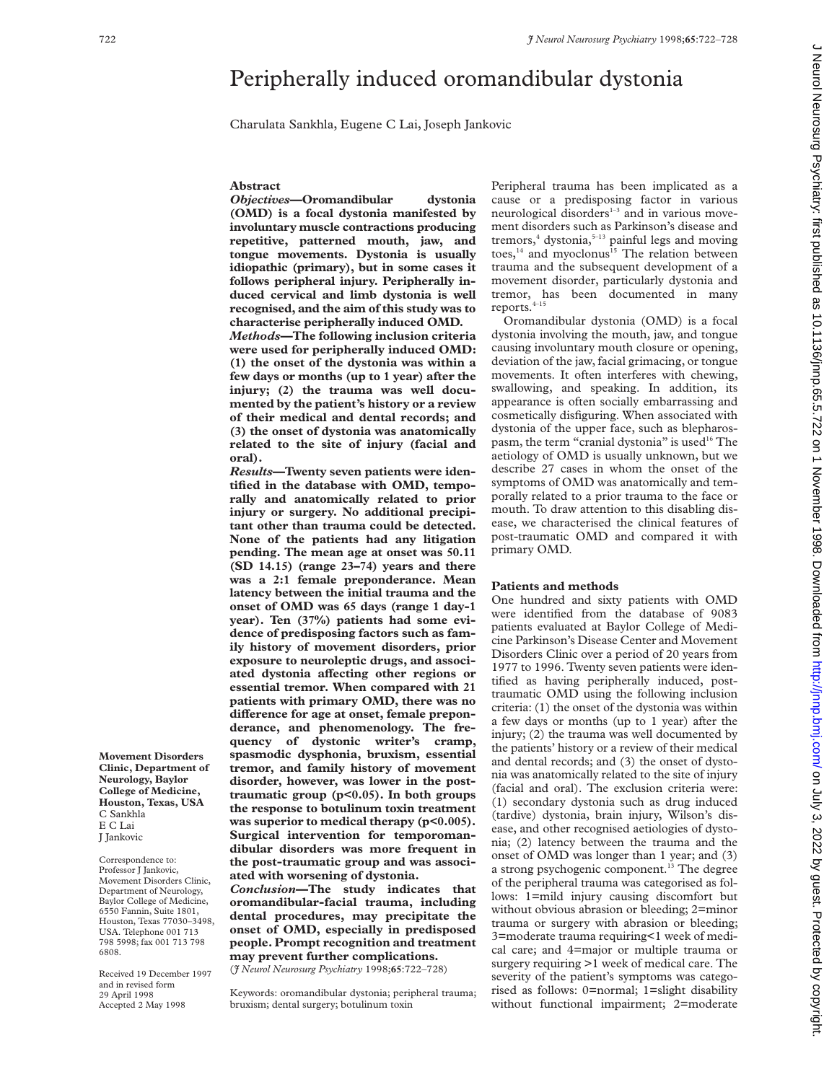# Peripherally induced oromandibular dystonia

Charulata Sankhla, Eugene C Lai, Joseph Jankovic

#### **Abstract**

*Objectives***—Oromandibular dystonia (OMD) is a focal dystonia manifested by involuntary muscle contractions producing repetitive, patterned mouth, jaw, and tongue movements. Dystonia is usually idiopathic (primary), but in some cases it follows peripheral injury. Peripherally induced cervical and limb dystonia is well recognised, and the aim of this study was to characterise peripherally induced OMD.**

*Methods***—The following inclusion criteria were used for peripherally induced OMD: (1) the onset of the dystonia was within a few days or months (up to 1 year) after the injury; (2) the trauma was well documented by the patient's history or a review of their medical and dental records; and (3) the onset of dystonia was anatomically related to the site of injury (facial and oral).**

*Results***—Twenty seven patients were identified in the database with OMD, temporally and anatomically related to prior injury or surgery. No additional precipitant other than trauma could be detected. None of the patients had any litigation pending. The mean age at onset was 50.11 (SD 14.15) (range 23–74) years and there was a 2:1 female preponderance. Mean latency between the initial trauma and the onset of OMD was 65 days (range 1 day-1 year). Ten (37%) patients had some evidence of predisposing factors such as family history of movement disorders, prior exposure to neuroleptic drugs, and associ**ated dystonia affecting other regions or **essential tremor. When compared with 21 patients with primary OMD, there was no** difference for age at onset, female prepon**derance, and phenomenology. The frequency of dystonic writer's cramp, spasmodic dysphonia, bruxism, essential tremor, and family history of movement disorder, however, was lower in the posttraumatic group (p<0.05). In both groups the response to botulinum toxin treatment was superior to medical therapy (p<0.005). Surgical intervention for temporomandibular disorders was more frequent in the post-traumatic group and was associated with worsening of dystonia.**

*Conclusion***—The study indicates that oromandibular-facial trauma, including dental procedures, may precipitate the onset of OMD, especially in predisposed people. Prompt recognition and treatment may prevent further complications.**

(*J Neurol Neurosurg Psychiatry* 1998;**65**:722–728)

Keywords: oromandibular dystonia; peripheral trauma; bruxism; dental surgery; botulinum toxin

Peripheral trauma has been implicated as a cause or a predisposing factor in various neurological disorders $1-3$  and in various movement disorders such as Parkinson's disease and tremors,<sup>4</sup> dystonia,<sup>5-13</sup> painful legs and moving toes, $14$  and myoclonus<sup>15</sup> The relation between trauma and the subsequent development of a movement disorder, particularly dystonia and tremor, has been documented in many reports.4–15

Oromandibular dystonia (OMD) is a focal dystonia involving the mouth, jaw, and tongue causing involuntary mouth closure or opening, deviation of the jaw, facial grimacing, or tongue movements. It often interferes with chewing, swallowing, and speaking. In addition, its appearance is often socially embarrassing and cosmetically disfiguring. When associated with dystonia of the upper face, such as blepharospasm, the term "cranial dystonia" is used<sup>16</sup> The aetiology of OMD is usually unknown, but we describe 27 cases in whom the onset of the symptoms of OMD was anatomically and temporally related to a prior trauma to the face or mouth. To draw attention to this disabling disease, we characterised the clinical features of post-traumatic OMD and compared it with primary OMD.

#### **Patients and methods**

One hundred and sixty patients with OMD were identified from the database of 9083 patients evaluated at Baylor College of Medicine Parkinson's Disease Center and Movement Disorders Clinic over a period of 20 years from 1977 to 1996. Twenty seven patients were identified as having peripherally induced, posttraumatic OMD using the following inclusion criteria: (1) the onset of the dystonia was within a few days or months (up to 1 year) after the injury; (2) the trauma was well documented by the patients' history or a review of their medical and dental records; and (3) the onset of dystonia was anatomically related to the site of injury (facial and oral). The exclusion criteria were: (1) secondary dystonia such as drug induced (tardive) dystonia, brain injury, Wilson's disease, and other recognised aetiologies of dystonia; (2) latency between the trauma and the onset of OMD was longer than 1 year; and (3) a strong psychogenic component.<sup>13</sup> The degree of the peripheral trauma was categorised as follows: 1=mild injury causing discomfort but without obvious abrasion or bleeding; 2=minor trauma or surgery with abrasion or bleeding; 3=moderate trauma requiring<1 week of medical care; and 4=major or multiple trauma or surgery requiring >1 week of medical care. The severity of the patient's symptoms was categorised as follows: 0=normal; 1=slight disability without functional impairment; 2=moderate

**Movement Disorders Clinic, Department of Neurology, Baylor College of Medicine, Houston, Texas, USA** C Sankhla E C Lai J Jankovic

Correspondence to: Professor J Jankovic, Movement Disorders Clinic, Department of Neurology, Baylor College of Medicine, 6550 Fannin, Suite 1801, Houston, Texas 77030–3498, USA. Telephone 001 713 798 5998; fax 001 713 798 6808.

Received 19 December 1997 and in revised form 29 April 1998 Accepted 2 May 1998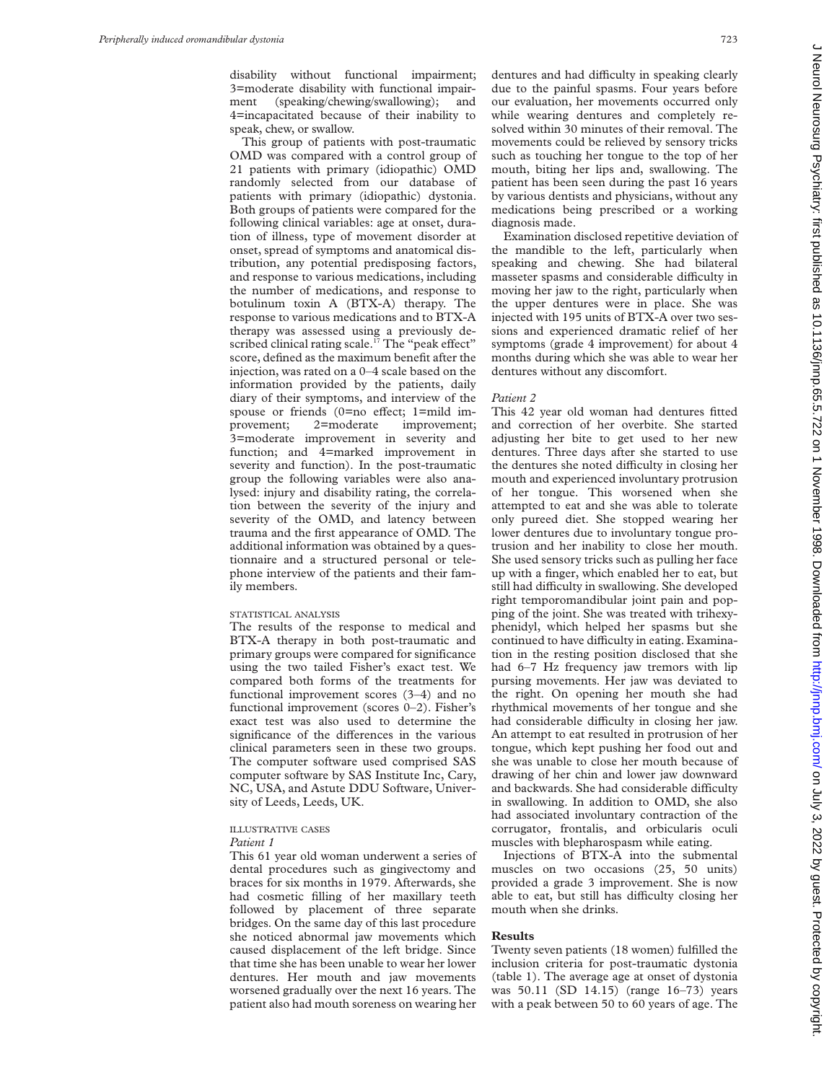disability without functional impairment; 3=moderate disability with functional impairment (speaking/chewing/swallowing); and 4=incapacitated because of their inability to speak, chew, or swallow.

This group of patients with post-traumatic OMD was compared with a control group of 21 patients with primary (idiopathic) OMD randomly selected from our database of patients with primary (idiopathic) dystonia. Both groups of patients were compared for the following clinical variables: age at onset, duration of illness, type of movement disorder at onset, spread of symptoms and anatomical distribution, any potential predisposing factors, and response to various medications, including the number of medications, and response to botulinum toxin A (BTX-A) therapy. The response to various medications and to BTX-A therapy was assessed using a previously described clinical rating scale.<sup>17</sup> The "peak effect" score, defined as the maximum benefit after the injection, was rated on a 0–4 scale based on the information provided by the patients, daily diary of their symptoms, and interview of the spouse or friends (0=no effect; 1=mild improvement; 2=moderate improvement; 3=moderate improvement in severity and function; and 4=marked improvement in severity and function). In the post-traumatic group the following variables were also analysed: injury and disability rating, the correlation between the severity of the injury and severity of the OMD, and latency between trauma and the first appearance of OMD. The additional information was obtained by a questionnaire and a structured personal or telephone interview of the patients and their family members.

#### STATISTICAL ANALYSIS

The results of the response to medical and BTX-A therapy in both post-traumatic and primary groups were compared for significance using the two tailed Fisher's exact test. We compared both forms of the treatments for functional improvement scores (3–4) and no functional improvement (scores 0–2). Fisher's exact test was also used to determine the significance of the differences in the various clinical parameters seen in these two groups. The computer software used comprised SAS computer software by SAS Institute Inc, Cary, NC, USA, and Astute DDU Software, University of Leeds, Leeds, UK.

#### ILLUSTRATIVE CASES *Patient 1*

This 61 year old woman underwent a series of dental procedures such as gingivectomy and braces for six months in 1979. Afterwards, she had cosmetic filling of her maxillary teeth followed by placement of three separate bridges. On the same day of this last procedure she noticed abnormal jaw movements which caused displacement of the left bridge. Since that time she has been unable to wear her lower dentures. Her mouth and jaw movements worsened gradually over the next 16 years. The patient also had mouth soreness on wearing her

dentures and had difficulty in speaking clearly due to the painful spasms. Four years before our evaluation, her movements occurred only while wearing dentures and completely resolved within 30 minutes of their removal. The movements could be relieved by sensory tricks such as touching her tongue to the top of her mouth, biting her lips and, swallowing. The patient has been seen during the past 16 years by various dentists and physicians, without any medications being prescribed or a working diagnosis made.

Examination disclosed repetitive deviation of the mandible to the left, particularly when speaking and chewing. She had bilateral masseter spasms and considerable difficulty in moving her jaw to the right, particularly when the upper dentures were in place. She was injected with 195 units of BTX-A over two sessions and experienced dramatic relief of her symptoms (grade 4 improvement) for about 4 months during which she was able to wear her dentures without any discomfort.

#### *Patient 2*

This 42 year old woman had dentures fitted and correction of her overbite. She started adjusting her bite to get used to her new dentures. Three days after she started to use the dentures she noted difficulty in closing her mouth and experienced involuntary protrusion of her tongue. This worsened when she attempted to eat and she was able to tolerate only pureed diet. She stopped wearing her lower dentures due to involuntary tongue protrusion and her inability to close her mouth. She used sensory tricks such as pulling her face up with a finger, which enabled her to eat, but still had difficulty in swallowing. She developed right temporomandibular joint pain and popping of the joint. She was treated with trihexyphenidyl, which helped her spasms but she continued to have difficulty in eating. Examination in the resting position disclosed that she had 6–7 Hz frequency jaw tremors with lip pursing movements. Her jaw was deviated to the right. On opening her mouth she had rhythmical movements of her tongue and she had considerable difficulty in closing her jaw. An attempt to eat resulted in protrusion of her tongue, which kept pushing her food out and she was unable to close her mouth because of drawing of her chin and lower jaw downward and backwards. She had considerable difficulty in swallowing. In addition to OMD, she also had associated involuntary contraction of the corrugator, frontalis, and orbicularis oculi muscles with blepharospasm while eating.

Injections of BTX-A into the submental muscles on two occasions (25, 50 units) provided a grade 3 improvement. She is now able to eat, but still has difficulty closing her mouth when she drinks.

## **Results**

Twenty seven patients (18 women) fulfilled the inclusion criteria for post-traumatic dystonia (table 1). The average age at onset of dystonia was 50.11 (SD 14.15) (range 16–73) years with a peak between 50 to 60 years of age. The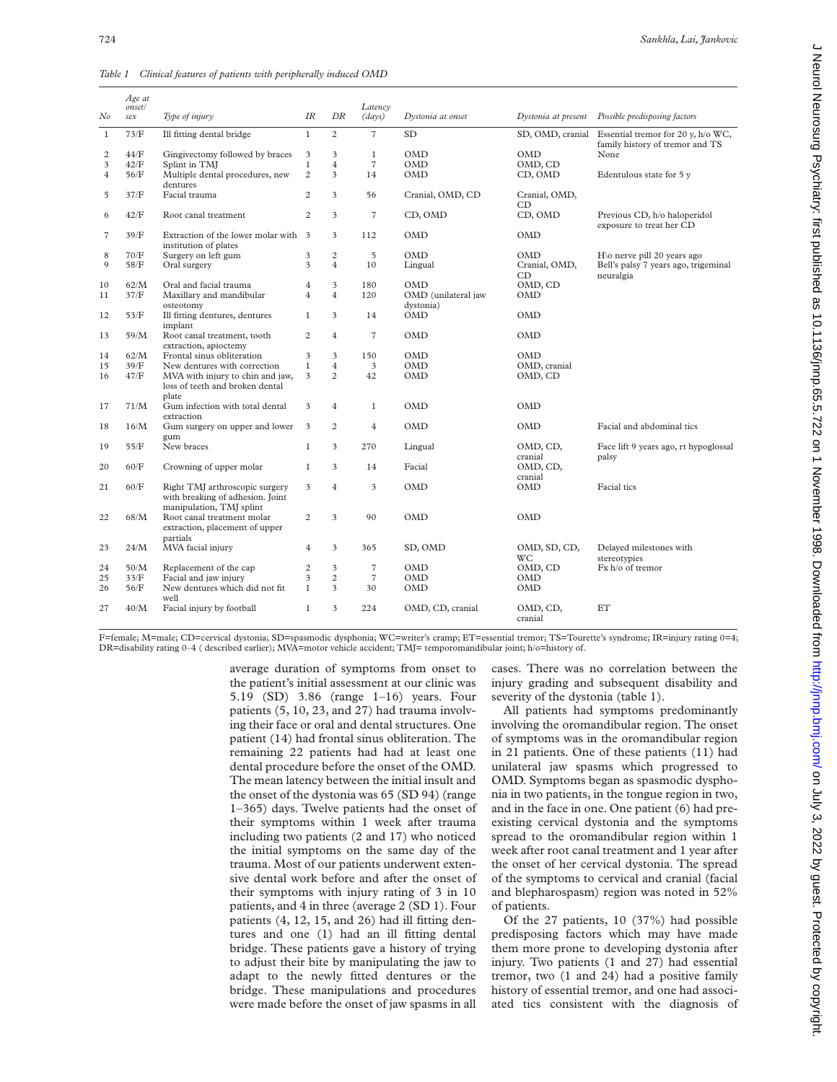| No               | Age at<br>onset/<br>sex | Type of injury                                                | IR                      | DR                      | Latency<br>(days)   | Dystonia at onset   | Dystonia at present | Possible predisposing factors                                         |
|------------------|-------------------------|---------------------------------------------------------------|-------------------------|-------------------------|---------------------|---------------------|---------------------|-----------------------------------------------------------------------|
| $\mathbf{1}$     | 73/F                    | Ill fitting dental bridge                                     | $\mathbf{1}$            | $\overline{c}$          | $\overline{7}$      | <b>SD</b>           | SD, OMD, cranial    | Essential tremor for 20 y, h/o WC,<br>family history of tremor and TS |
| $\boldsymbol{2}$ | $44/F$                  | Gingivectomy followed by braces                               | $\mathfrak{Z}$          | 3                       | $\mathbf{1}$        | <b>OMD</b>          | OMD                 | None                                                                  |
| 3                | 42/F                    | Splint in TMI                                                 | $\mathbf{1}$            | $\overline{4}$          | $\scriptstyle\rm 7$ | <b>OMD</b>          | OMD, CD             |                                                                       |
| $\overline{4}$   | 56/F                    | Multiple dental procedures, new                               | $\overline{c}$          | $\overline{\mathbf{3}}$ | 14                  | <b>OMD</b>          | CD, OMD             | Edentulous state for 5 y                                              |
|                  |                         | dentures                                                      |                         |                         |                     |                     |                     |                                                                       |
| 5                | 37/F                    | Facial trauma                                                 | $\overline{2}$          | 3                       | 56                  | Cranial, OMD, CD    | Cranial, OMD,<br>CD |                                                                       |
| 6                | 42/F                    | Root canal treatment                                          | $\overline{2}$          | 3                       | $\sqrt{7}$          | CD, OMD             | CD, OMD             | Previous CD, h/o haloperidol<br>exposure to treat her CD              |
| $\overline{7}$   | 39/F                    | Extraction of the lower molar with 3<br>institution of plates |                         | 3                       | 112                 | <b>OMD</b>          | OMD                 |                                                                       |
| 8                | 70/F                    | Surgery on left gum                                           | 3                       | $\overline{c}$          | $\overline{5}$      | <b>OMD</b>          | OMD                 | $H\omega$ nerve pill 20 years ago                                     |
| 9                | 58/F                    | Oral surgery                                                  | 3                       | $\overline{4}$          | 10                  | Lingual             | Cranial, OMD,       | Bell's palsy 7 years ago, trigeminal                                  |
|                  |                         |                                                               |                         |                         |                     |                     | CD                  | neuralgia                                                             |
| 10               | 62/M                    | Oral and facial trauma                                        | $\overline{4}$          | $\overline{\mathbf{3}}$ | 180                 | OMD                 | OMD, CD             |                                                                       |
| 11               | 37/F                    | Maxillary and mandibular                                      | $\overline{4}$          | $\overline{4}$          | 120                 | OMD (unilateral jaw | OMD                 |                                                                       |
|                  |                         | osteotomy                                                     |                         |                         |                     | dystonia)           |                     |                                                                       |
| 12               | 53/F                    | Ill fitting dentures, dentures<br>implant                     | $\mathbf{1}$            | 3                       | 14                  | <b>OMD</b>          | OMD                 |                                                                       |
| 13               | 59/M                    | Root canal treatment, tooth<br>extraction, apioctemy          | $\overline{2}$          | $\overline{4}$          | $\overline{7}$      | <b>OMD</b>          | OMD                 |                                                                       |
| 14               | 62/M                    | Frontal sinus obliteration                                    | 3                       | 3                       | 150                 | <b>OMD</b>          | OMD                 |                                                                       |
| 15               | 39/F                    | New dentures with correction                                  | $\mathbf{1}$            | $\overline{4}$          | 3                   | <b>OMD</b>          | OMD, cranial        |                                                                       |
| 16               | 47/F                    | MVA with injury to chin and jaw,                              | 3                       | $\overline{c}$          | 42                  | <b>OMD</b>          | OMD, CD             |                                                                       |
|                  |                         | loss of teeth and broken dental<br>plate                      |                         |                         |                     |                     |                     |                                                                       |
| 17               | 71/M                    | Gum infection with total dental                               | 3                       | $\overline{4}$          | $\mathbf{1}$        | <b>OMD</b>          | OMD                 |                                                                       |
|                  |                         | extraction                                                    |                         |                         |                     |                     |                     |                                                                       |
| 18               | 16/M                    | Gum surgery on upper and lower                                | $\overline{\mathbf{3}}$ | $\overline{c}$          | $\overline{4}$      | <b>OMD</b>          | <b>OMD</b>          | Facial and abdominal tics                                             |
|                  |                         | gum                                                           |                         |                         |                     |                     |                     |                                                                       |
| 19               | 55/F                    | New braces                                                    | $\mathbf{1}$            | 3                       | 270                 | Lingual             | OMD, CD,            | Face lift 9 years ago, rt hypoglossal                                 |
|                  |                         |                                                               |                         |                         |                     |                     | cranial             | palsy                                                                 |
| 20               | 60/F                    | Crowning of upper molar                                       | $\mathbf{1}$            | $\overline{\mathbf{3}}$ | 14                  | Facial              | OMD, CD,            |                                                                       |
|                  |                         |                                                               |                         |                         |                     |                     | cranial             |                                                                       |
| 21               | 60/F                    | Right TMJ arthroscopic surgery                                | 3                       | $\overline{4}$          | 3                   | <b>OMD</b>          | <b>OMD</b>          | Facial tics                                                           |
|                  |                         | with breaking of adhesion. Joint                              |                         |                         |                     |                     |                     |                                                                       |
|                  | 68/M                    | manipulation, TMJ splint<br>Root canal treatment molar        | $\overline{c}$          | $\overline{3}$          | 90                  | <b>OMD</b>          | OMD                 |                                                                       |
| 22               |                         |                                                               |                         |                         |                     |                     |                     |                                                                       |
|                  |                         | extraction, placement of upper                                |                         |                         |                     |                     |                     |                                                                       |
|                  |                         | partials                                                      |                         |                         |                     |                     |                     |                                                                       |
| 23               | 24/M                    | MVA facial injury                                             | $\overline{4}$          | 3                       | 365                 | SD, OMD             | OMD, SD, CD,        | Delayed milestones with                                               |
|                  |                         |                                                               |                         |                         |                     |                     | WС                  | stereotypies                                                          |
| 24               | 50/M                    | Replacement of the cap                                        | $\overline{c}$          | 3                       | $\overline{7}$      | <b>OMD</b>          | OMD, CD             | Fx h/o of tremor                                                      |
| 25               | 33/F                    | Facial and jaw injury                                         | 3                       | $\overline{c}$          | $\overline{7}$      | <b>OMD</b>          | OMD                 |                                                                       |
| 26               | 56/F                    | New dentures which did not fit                                | $\mathbf{1}$            | 3                       | 30                  | OMD                 | <b>OMD</b>          |                                                                       |
|                  |                         | well                                                          |                         |                         |                     |                     |                     |                                                                       |
| 27               | 40/M                    | Facial injury by football                                     | $\mathbf{1}$            | 3                       | 224                 | OMD, CD, cranial    | OMD, CD,            | ET                                                                    |
|                  |                         |                                                               |                         |                         |                     |                     | cranial             |                                                                       |
|                  |                         |                                                               |                         |                         |                     |                     |                     |                                                                       |

*Table 1 Clinical features of patients with peripherally induced OMD*

F=female; M=male; CD=cervical dystonia; SD=spasmodic dysphonia; WC=writer's cramp; ET=essential tremor; TS=Tourette's syndrome; IR=injury rating 0=4; DR=disability rating 0–4 ( described earlier); MVA=motor vehicle accident; TMJ= temporomandibular joint; h/o=history of.

> average duration of symptoms from onset to the patient's initial assessment at our clinic was 5.19 (SD) 3.86 (range 1–16) years. Four patients (5, 10, 23, and 27) had trauma involving their face or oral and dental structures. One patient (14) had frontal sinus obliteration. The remaining 22 patients had had at least one dental procedure before the onset of the OMD. The mean latency between the initial insult and the onset of the dystonia was 65 (SD 94) (range 1–365) days. Twelve patients had the onset of their symptoms within 1 week after trauma including two patients (2 and 17) who noticed the initial symptoms on the same day of the trauma. Most of our patients underwent extensive dental work before and after the onset of their symptoms with injury rating of 3 in 10 patients, and 4 in three (average 2 (SD 1). Four patients (4, 12, 15, and 26) had ill fitting dentures and one (1) had an ill fitting dental bridge. These patients gave a history of trying to adjust their bite by manipulating the jaw to adapt to the newly fitted dentures or the bridge. These manipulations and procedures were made before the onset of jaw spasms in all

cases. There was no correlation between the injury grading and subsequent disability and severity of the dystonia (table 1).

All patients had symptoms predominantly involving the oromandibular region. The onset of symptoms was in the oromandibular region in 21 patients. One of these patients (11) had unilateral jaw spasms which progressed to OMD. Symptoms began as spasmodic dysphonia in two patients, in the tongue region in two, and in the face in one. One patient (6) had preexisting cervical dystonia and the symptoms spread to the oromandibular region within 1 week after root canal treatment and 1 year after the onset of her cervical dystonia. The spread of the symptoms to cervical and cranial (facial and blepharospasm) region was noted in 52% of patients.

Of the 27 patients, 10 (37%) had possible predisposing factors which may have made them more prone to developing dystonia after injury. Two patients (1 and 27) had essential tremor, two (1 and 24) had a positive family history of essential tremor, and one had associated tics consistent with the diagnosis of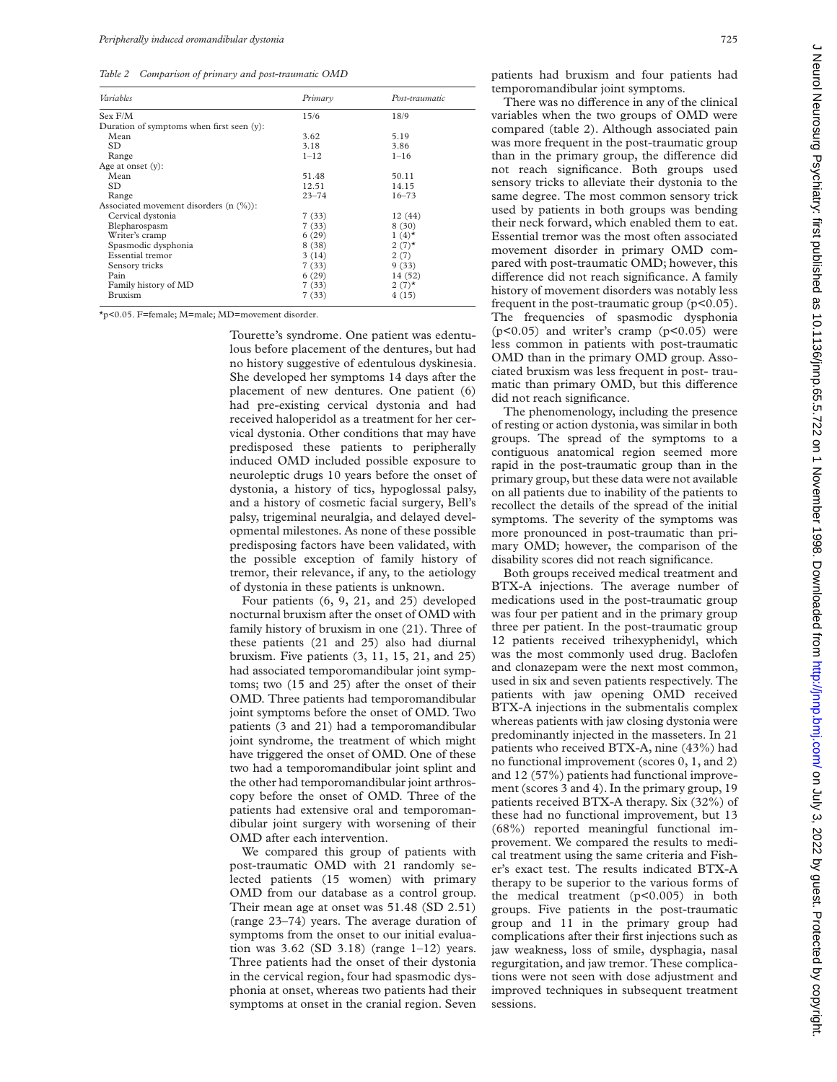*Table 2 Comparison of primary and post-traumatic OMD*

| Variables                                    | Primary   | Post-traumatic |
|----------------------------------------------|-----------|----------------|
| Sex F/M                                      | 15/6      | 18/9           |
| Duration of symptoms when first seen $(v)$ : |           |                |
| Mean                                         | 3.62      | 5.19           |
| SD.                                          | 3.18      | 3.86           |
| Range                                        | $1 - 12$  | $1 - 16$       |
| Age at onset $(y)$ :                         |           |                |
| Mean                                         | 51.48     | 50.11          |
| <b>SD</b>                                    | 12.51     | 14.15          |
| Range                                        | $23 - 74$ | $16 - 73$      |
| Associated movement disorders $(n \, 0)$ :   |           |                |
| Cervical dystonia                            | 7(33)     | 12 (44)        |
| Blepharospasm                                | 7(33)     | 8(30)          |
| Writer's cramp                               | 6(29)     | $1(4)^*$       |
| Spasmodic dysphonia                          | 8(38)     | $2(7)$ *       |
| Essential tremor                             | 3(14)     | 2(7)           |
| Sensory tricks                               | 7(33)     | 9(33)          |
| Pain                                         | 6(29)     | 14 (52)        |
| Family history of MD                         | 7(33)     | $2(7)$ *       |
| Bruxism                                      | 7(33)     | 4(15)          |

\*p<0.05. F=female; M=male; MD=movement disorder.

Tourette's syndrome. One patient was edentulous before placement of the dentures, but had no history suggestive of edentulous dyskinesia. She developed her symptoms 14 days after the placement of new dentures. One patient (6) had pre-existing cervical dystonia and had received haloperidol as a treatment for her cervical dystonia. Other conditions that may have predisposed these patients to peripherally induced OMD included possible exposure to neuroleptic drugs 10 years before the onset of dystonia, a history of tics, hypoglossal palsy, and a history of cosmetic facial surgery, Bell's palsy, trigeminal neuralgia, and delayed developmental milestones. As none of these possible predisposing factors have been validated, with the possible exception of family history of tremor, their relevance, if any, to the aetiology of dystonia in these patients is unknown.

Four patients (6, 9, 21, and 25) developed nocturnal bruxism after the onset of OMD with family history of bruxism in one (21). Three of these patients (21 and 25) also had diurnal bruxism. Five patients (3, 11, 15, 21, and 25) had associated temporomandibular joint symptoms; two (15 and 25) after the onset of their OMD. Three patients had temporomandibular joint symptoms before the onset of OMD. Two patients (3 and 21) had a temporomandibular joint syndrome, the treatment of which might have triggered the onset of OMD. One of these two had a temporomandibular joint splint and the other had temporomandibular joint arthroscopy before the onset of OMD. Three of the patients had extensive oral and temporomandibular joint surgery with worsening of their OMD after each intervention.

We compared this group of patients with post-traumatic OMD with 21 randomly selected patients (15 women) with primary OMD from our database as a control group. Their mean age at onset was 51.48 (SD 2.51) (range 23–74) years. The average duration of symptoms from the onset to our initial evaluation was  $3.62$  (SD  $3.18$ ) (range  $1-12$ ) years. Three patients had the onset of their dystonia in the cervical region, four had spasmodic dysphonia at onset, whereas two patients had their symptoms at onset in the cranial region. Seven

patients had bruxism and four patients had temporomandibular joint symptoms.

There was no difference in any of the clinical variables when the two groups of OMD were compared (table 2). Although associated pain was more frequent in the post-traumatic group than in the primary group, the difference did not reach significance. Both groups used sensory tricks to alleviate their dystonia to the same degree. The most common sensory trick used by patients in both groups was bending their neck forward, which enabled them to eat. Essential tremor was the most often associated movement disorder in primary OMD compared with post-traumatic OMD; however, this difference did not reach significance. A family history of movement disorders was notably less frequent in the post-traumatic group  $(p<0.05)$ . The frequencies of spasmodic dysphonia  $(p<0.05)$  and writer's cramp  $(p<0.05)$  were less common in patients with post-traumatic OMD than in the primary OMD group. Associated bruxism was less frequent in post- traumatic than primary OMD, but this difference did not reach significance.

The phenomenology, including the presence of resting or action dystonia, was similar in both groups. The spread of the symptoms to a contiguous anatomical region seemed more rapid in the post-traumatic group than in the primary group, but these data were not available on all patients due to inability of the patients to recollect the details of the spread of the initial symptoms. The severity of the symptoms was more pronounced in post-traumatic than primary OMD; however, the comparison of the disability scores did not reach significance.

Both groups received medical treatment and BTX-A injections. The average number of medications used in the post-traumatic group was four per patient and in the primary group three per patient. In the post-traumatic group 12 patients received trihexyphenidyl, which was the most commonly used drug. Baclofen and clonazepam were the next most common, used in six and seven patients respectively. The patients with jaw opening OMD received BTX-A injections in the submentalis complex whereas patients with jaw closing dystonia were predominantly injected in the masseters. In 21 patients who received BTX-A, nine (43%) had no functional improvement (scores 0, 1, and 2) and 12 (57%) patients had functional improvement (scores 3 and 4). In the primary group, 19 patients received BTX-A therapy. Six (32%) of these had no functional improvement, but 13 (68%) reported meaningful functional improvement. We compared the results to medical treatment using the same criteria and Fisher's exact test. The results indicated BTX-A therapy to be superior to the various forms of the medical treatment (p<0.005) in both groups. Five patients in the post-traumatic group and 11 in the primary group had complications after their first injections such as jaw weakness, loss of smile, dysphagia, nasal regurgitation, and jaw tremor. These complications were not seen with dose adjustment and improved techniques in subsequent treatment sessions.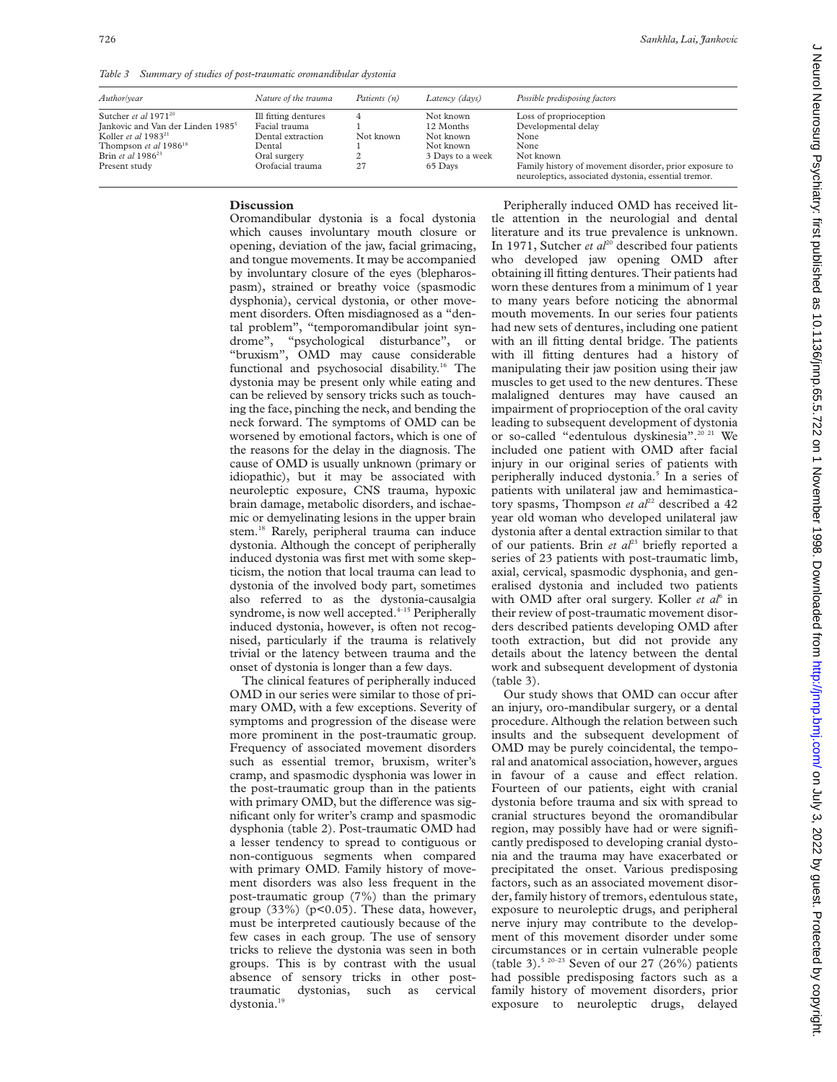*Table 3 Summary of studies of post-traumatic oromandibular dystonia*

| Author/year                                   | Nature of the trauma | Patients (n) | Latency (days)   | Possible predisposing factors                                                                                  |
|-----------------------------------------------|----------------------|--------------|------------------|----------------------------------------------------------------------------------------------------------------|
| Sutcher <i>et al</i> $1971^{20}$              | Ill fitting dentures | 4            | Not known        | Loss of proprioception                                                                                         |
| Jankovic and Van der Linden 1985 <sup>5</sup> | Facial trauma        |              | 12 Months        | Developmental delay                                                                                            |
| Koller et al $1983^{21}$                      | Dental extraction    | Not known    | Not known        | None                                                                                                           |
| Thompson et al 1986 <sup>18</sup>             | Dental               |              | Not known        | None                                                                                                           |
| Brin et al $1986^{23}$                        | Oral surgery         |              | 3 Days to a week | Not known                                                                                                      |
| Present study                                 | Orofacial trauma     | 27           | 65 Days          | Family history of movement disorder, prior exposure to<br>neuroleptics, associated dystonia, essential tremor. |

### **Discussion**

Oromandibular dystonia is a focal dystonia which causes involuntary mouth closure or opening, deviation of the jaw, facial grimacing, and tongue movements. It may be accompanied by involuntary closure of the eyes (blepharospasm), strained or breathy voice (spasmodic dysphonia), cervical dystonia, or other movement disorders. Often misdiagnosed as a "dental problem", "temporomandibular joint syndrome", "psychological disturbance", or "bruxism", OMD may cause considerable functional and psychosocial disability.<sup>16</sup> The dystonia may be present only while eating and can be relieved by sensory tricks such as touching the face, pinching the neck, and bending the neck forward. The symptoms of OMD can be worsened by emotional factors, which is one of the reasons for the delay in the diagnosis. The cause of OMD is usually unknown (primary or idiopathic), but it may be associated with neuroleptic exposure, CNS trauma, hypoxic brain damage, metabolic disorders, and ischaemic or demyelinating lesions in the upper brain stem.<sup>18</sup> Rarely, peripheral trauma can induce dystonia. Although the concept of peripherally induced dystonia was first met with some skepticism, the notion that local trauma can lead to dystonia of the involved body part, sometimes also referred to as the dystonia-causalgia syndrome, is now well accepted. $4-15$  Peripherally induced dystonia, however, is often not recognised, particularly if the trauma is relatively trivial or the latency between trauma and the onset of dystonia is longer than a few days.

The clinical features of peripherally induced OMD in our series were similar to those of primary OMD, with a few exceptions. Severity of symptoms and progression of the disease were more prominent in the post-traumatic group. Frequency of associated movement disorders such as essential tremor, bruxism, writer's cramp, and spasmodic dysphonia was lower in the post-traumatic group than in the patients with primary OMD, but the difference was significant only for writer's cramp and spasmodic dysphonia (table 2). Post-traumatic OMD had a lesser tendency to spread to contiguous or non-contiguous segments when compared with primary OMD. Family history of movement disorders was also less frequent in the post-traumatic group (7%) than the primary group  $(33\%)$  (p<0.05). These data, however, must be interpreted cautiously because of the few cases in each group. The use of sensory tricks to relieve the dystonia was seen in both groups. This is by contrast with the usual absence of sensory tricks in other posttraumatic dystonias, such as cervical dystonia.<sup>1</sup>

Peripherally induced OMD has received little attention in the neurologial and dental literature and its true prevalence is unknown. In 1971, Sutcher *et al*<sup>20</sup> described four patients who developed jaw opening OMD after obtaining ill fitting dentures. Their patients had worn these dentures from a minimum of 1 year to many years before noticing the abnormal mouth movements. In our series four patients had new sets of dentures, including one patient with an ill fitting dental bridge. The patients with ill fitting dentures had a history of manipulating their jaw position using their jaw muscles to get used to the new dentures. These malaligned dentures may have caused an impairment of proprioception of the oral cavity leading to subsequent development of dystonia or so-called "edentulous dyskinesia".<sup>20 21</sup> We included one patient with OMD after facial injury in our original series of patients with peripherally induced dystonia.<sup>5</sup> In a series of patients with unilateral jaw and hemimasticatory spasms, Thompson *et al*<sup>22</sup> described a 42 year old woman who developed unilateral jaw dystonia after a dental extraction similar to that of our patients. Brin *et al*<sup>23</sup> briefly reported a series of 23 patients with post-traumatic limb, axial, cervical, spasmodic dysphonia, and generalised dystonia and included two patients with OMD after oral surgery. Koller *et al*<sup>6</sup> in their review of post-traumatic movement disorders described patients developing OMD after tooth extraction, but did not provide any details about the latency between the dental work and subsequent development of dystonia (table 3).

Our study shows that OMD can occur after an injury, oro-mandibular surgery, or a dental procedure. Although the relation between such insults and the subsequent development of OMD may be purely coincidental, the temporal and anatomical association, however, argues in favour of a cause and effect relation. Fourteen of our patients, eight with cranial dystonia before trauma and six with spread to cranial structures beyond the oromandibular region, may possibly have had or were significantly predisposed to developing cranial dystonia and the trauma may have exacerbated or precipitated the onset. Various predisposing factors, such as an associated movement disorder, family history of tremors, edentulous state, exposure to neuroleptic drugs, and peripheral nerve injury may contribute to the development of this movement disorder under some circumstances or in certain vulnerable people (table 3).<sup>5 20-23</sup> Seven of our 27 (26%) patients had possible predisposing factors such as a family history of movement disorders, prior exposure to neuroleptic drugs, delayed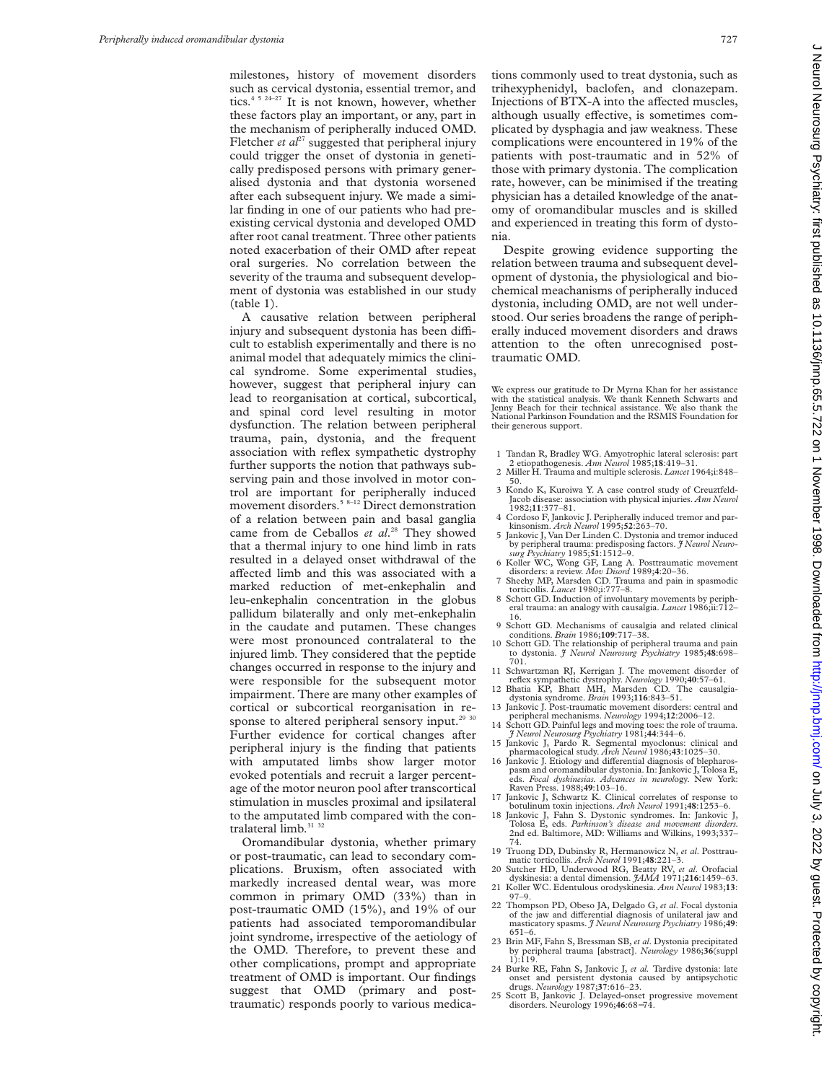milestones, history of movement disorders such as cervical dystonia, essential tremor, and tics.4 5 24–27 It is not known, however, whether these factors play an important, or any, part in the mechanism of peripherally induced OMD. Fletcher *et al*<sup>27</sup> suggested that peripheral injury could trigger the onset of dystonia in genetically predisposed persons with primary generalised dystonia and that dystonia worsened after each subsequent injury. We made a similar finding in one of our patients who had preexisting cervical dystonia and developed OMD after root canal treatment. Three other patients noted exacerbation of their OMD after repeat oral surgeries. No correlation between the severity of the trauma and subsequent development of dystonia was established in our study (table 1).

A causative relation between peripheral injury and subsequent dystonia has been difficult to establish experimentally and there is no animal model that adequately mimics the clinical syndrome. Some experimental studies, however, suggest that peripheral injury can lead to reorganisation at cortical, subcortical, and spinal cord level resulting in motor dysfunction. The relation between peripheral trauma, pain, dystonia, and the frequent association with reflex sympathetic dystrophy further supports the notion that pathways subserving pain and those involved in motor control are important for peripherally induced movement disorders.<sup>5 8-12</sup> Direct demonstration of a relation between pain and basal ganglia came from de Ceballos *et al*. <sup>28</sup> They showed that a thermal injury to one hind limb in rats resulted in a delayed onset withdrawal of the affected limb and this was associated with a marked reduction of met-enkephalin and leu-enkephalin concentration in the globus pallidum bilaterally and only met-enkephalin in the caudate and putamen. These changes were most pronounced contralateral to the injured limb. They considered that the peptide changes occurred in response to the injury and were responsible for the subsequent motor impairment. There are many other examples of cortical or subcortical reorganisation in response to altered peripheral sensory input.<sup>29 30</sup> Further evidence for cortical changes after peripheral injury is the finding that patients with amputated limbs show larger motor evoked potentials and recruit a larger percentage of the motor neuron pool after transcortical stimulation in muscles proximal and ipsilateral to the amputated limb compared with the contralateral limb.<sup>31</sup> 32

Oromandibular dystonia, whether primary or post-traumatic, can lead to secondary complications. Bruxism, often associated with markedly increased dental wear, was more common in primary OMD (33%) than in post-traumatic OMD (15%), and 19% of our patients had associated temporomandibular joint syndrome, irrespective of the aetiology of the OMD. Therefore, to prevent these and other complications, prompt and appropriate treatment of OMD is important. Our findings suggest that OMD (primary and posttraumatic) responds poorly to various medications commonly used to treat dystonia, such as trihexyphenidyl, baclofen, and clonazepam. Injections of BTX-A into the affected muscles, although usually effective, is sometimes complicated by dysphagia and jaw weakness. These complications were encountered in 19% of the patients with post-traumatic and in 52% of those with primary dystonia. The complication rate, however, can be minimised if the treating physician has a detailed knowledge of the anatomy of oromandibular muscles and is skilled and experienced in treating this form of dystonia.

Despite growing evidence supporting the relation between trauma and subsequent development of dystonia, the physiological and biochemical meachanisms of peripherally induced dystonia, including OMD, are not well understood. Our series broadens the range of peripherally induced movement disorders and draws attention to the often unrecognised posttraumatic OMD.

We express our gratitude to Dr Myrna Khan for her assistance with the statistical analysis. We thank Kenneth Schwarts and Jenny Beach for their technical assistance. We also thank the National Parkinson Foundation and the RSMIS Foundation for their generous support.

- 1 Tandan R, Bradley WG. Amyotrophic lateral sclerosis: part 2 etiopathogenesis. *Ann Neurol* 1985;**18**:419–31.
- 2 Miller H. Trauma and multiple sclerosis. *Lancet* 1964;i:848– 50.
- 3 Kondo K, Kuroiwa Y. A case control study of Creuztfeld-Jacob disease: association with physical injuries. *Ann Neurol* 1982;**11**:377–81.
- 4 Cordoso F, Jankovic J. Peripherally induced tremor and parkinsonism. *Arch Neurol* 1995;**52**:263–70.
- 5 Jankovic J, Van Der Linden C. Dystonia and tremor induced by peripheral trauma: predisposing factors. *J Neurol Neuro-surg Psychiatry* 1985;**51**:1512–9.
- 6 Koller WC, Wong GF, Lang A. Posttraumatic movement
- disorders: a review. *Mov Disord* 1989;**4**:20–36. 7 Sheehy MP, Marsden CD. Trauma and pain in spasmodic torticollis. *Lancet* 1980;i:777–8. 8 Schott GD. Induction of involuntary movements by periph-
- eral trauma: an analogy with causalgia. *Lancet* 1986;ii:712– 16.
- 9 Schott GD. Mechanisms of causalgia and related clinical conditions. *Brain* 1986;**109**:717–38.
- 10 Schott GD. The relationship of peripheral trauma and pain to dystonia. *J Neurol Neurosurg Psychiatry* 1985;**48**:698– 701.
- 11 Schwartzman RJ, Kerrigan J. The movement disorder of reflex sympathetic dystrophy. *Neurology* 1990;**40**:57–61. 12 Bhatia KP, Bhatt MH, Marsden CD. The causalgia-
- dystonia syndrome. *Brain* 1993;**116**:843–51.
- 13 Jankovic J. Post-traumatic movement disorders: central and
- peripheral mechanisms. *Neurology* 1994;12:2006–12.<br>14 Schott GD. Painful legs and moving toes: the role of trauma.<br>5 *Neurol Neurosurg Psychiarty* 1981;44:344–6.<br>15 Jankovic J, Pardo R. Segmental myoclonus: clinical and
- pharmacological study. *Arch Neurol* 1986;43:1025-30.<br>16 Jankovic J. Etiology and differential diagnosis of blepharos-
- pasm and oromandibular dystonia. In: Jankovic J, Tolosa E, eds. *Focal dyskinesias. Advances in neurol*ogy. New York: Raven Press. 1988;**49**:103–16.
- 17 Jankovic J, Schwartz K. Clinical correlates of response to botulinum toxin injections. *Arch Neurol* 1991;**48**:1253–6.
- 18 Jankovic J, Fahn S. Dystonic syndromes. In: Jankovic J, Tolosa E, eds. *Parkinson's disease and movement disorders.* 2nd ed. Baltimore, MD: Williams and Wilkins, 1993;337– 74.
- 19 Truong DD, Dubinsky R, Hermanowicz N, *et al*. Posttraumatic torticollis. *Arch Neurol* 1991;**48**:221–3. 20 Sutcher HD, Underwood RG, Beatty RV, *et al*. Orofacial
- dyskinesia: a dental dimension. *JAMA* 1971;**216**:1459–63. 21 Koller WC. Edentulous orodyskinesia. *Ann Neurol* 1983;**13**:
- 97–9. 22 Thompson PD, Obeso JA, Delgado G, *et al*. Focal dystonia of the jaw and differential diagnosis of unilateral jaw and masticatory spasms. *J Neurol Neurosurg Psychiatry* 1986;49: 651–6.
- 23 Brin MF, Fahn S, Bressman SB, *et al*. Dystonia precipitated by peripheral trauma [abstract]. *Neurology* 1986;**36**(suppl 1):119.
- 24 Burke RE, Fahn S, Jankovic J, *et al.* Tardive dystonia: late onset and persistent dystonia caused by antipsychotic drugs. *Neurology* 1987;**37**:616–23.
- 25 Scott B, Jankovic J. Delayed-onset progressive movement disorders. Neurology 1996;**46**:68−74.